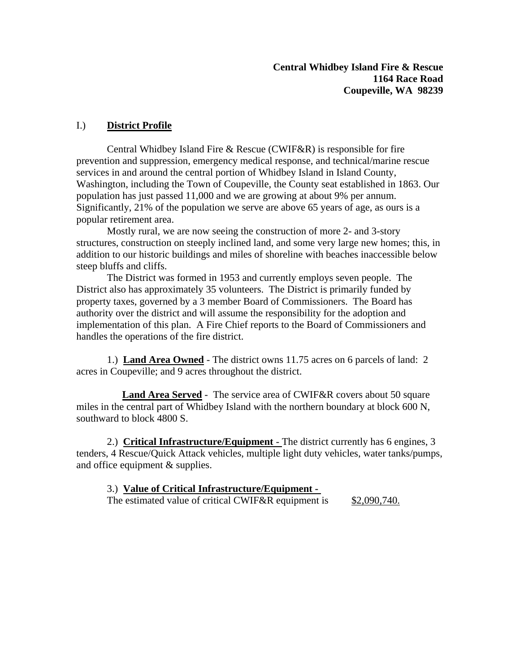### I.) **District Profile**

 Central Whidbey Island Fire & Rescue (CWIF&R) is responsible for fire prevention and suppression, emergency medical response, and technical/marine rescue services in and around the central portion of Whidbey Island in Island County, Washington, including the Town of Coupeville, the County seat established in 1863. Our population has just passed 11,000 and we are growing at about 9% per annum. Significantly, 21% of the population we serve are above 65 years of age, as ours is a popular retirement area.

 Mostly rural, we are now seeing the construction of more 2- and 3-story structures, construction on steeply inclined land, and some very large new homes; this, in addition to our historic buildings and miles of shoreline with beaches inaccessible below steep bluffs and cliffs.

 The District was formed in 1953 and currently employs seven people. The District also has approximately 35 volunteers. The District is primarily funded by property taxes, governed by a 3 member Board of Commissioners. The Board has authority over the district and will assume the responsibility for the adoption and implementation of this plan. A Fire Chief reports to the Board of Commissioners and handles the operations of the fire district.

 1.) **Land Area Owned** - The district owns 11.75 acres on 6 parcels of land: 2 acres in Coupeville; and 9 acres throughout the district.

 **Land Area Served** - The service area of CWIF&R covers about 50 square miles in the central part of Whidbey Island with the northern boundary at block 600 N, southward to block 4800 S.

 2.) **Critical Infrastructure/Equipment** - The district currently has 6 engines, 3 tenders, 4 Rescue/Quick Attack vehicles, multiple light duty vehicles, water tanks/pumps, and office equipment & supplies.

#### 3.) **Value of Critical Infrastructure/Equipment -**

The estimated value of critical CWIF&R equipment is \$2,090,740.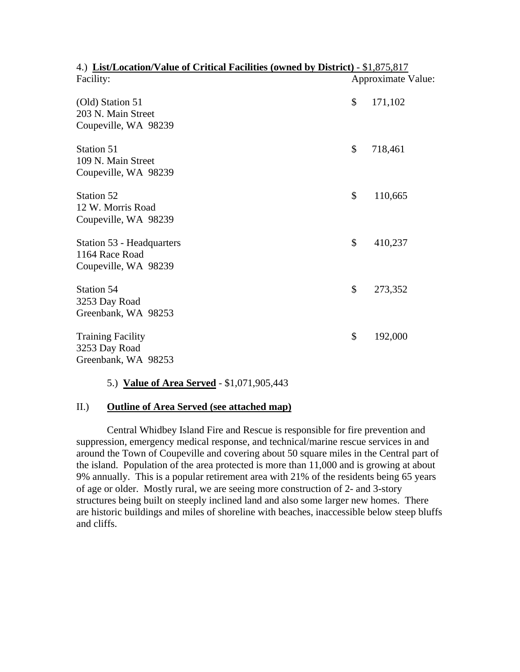| 4.) List/Location/Value of Critical Facilities (owned by District) - \$1,875,817 |                    |
|----------------------------------------------------------------------------------|--------------------|
| Facility:                                                                        | Approximate Value: |
| (Old) Station 51<br>203 N. Main Street                                           | \$<br>171,102      |
| Coupeville, WA 98239                                                             |                    |
| Station 51                                                                       | \$<br>718,461      |
| 109 N. Main Street                                                               |                    |
| Coupeville, WA 98239                                                             |                    |
| Station 52                                                                       | \$<br>110,665      |
| 12 W. Morris Road                                                                |                    |
| Coupeville, WA 98239                                                             |                    |
| Station 53 - Headquarters                                                        | \$<br>410,237      |
| 1164 Race Road                                                                   |                    |
| Coupeville, WA 98239                                                             |                    |
| Station 54                                                                       | \$<br>273,352      |
| 3253 Day Road                                                                    |                    |
| Greenbank, WA 98253                                                              |                    |
| <b>Training Facility</b>                                                         | \$<br>192,000      |
| 3253 Day Road                                                                    |                    |
| Greenbank, WA 98253                                                              |                    |

#### 5.) **Value of Area Served** - \$1,071,905,443

#### II.) **Outline of Area Served (see attached map)**

 Central Whidbey Island Fire and Rescue is responsible for fire prevention and suppression, emergency medical response, and technical/marine rescue services in and around the Town of Coupeville and covering about 50 square miles in the Central part of the island. Population of the area protected is more than 11,000 and is growing at about 9% annually. This is a popular retirement area with 21% of the residents being 65 years of age or older. Mostly rural, we are seeing more construction of 2- and 3-story structures being built on steeply inclined land and also some larger new homes. There are historic buildings and miles of shoreline with beaches, inaccessible below steep bluffs and cliffs.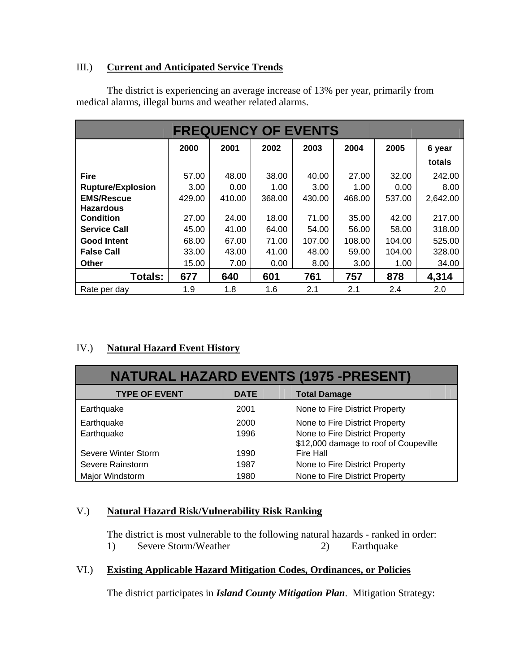### III.) **Current and Anticipated Service Trends**

 The district is experiencing an average increase of 13% per year, primarily from medical alarms, illegal burns and weather related alarms.

|                          | <b>FREQUENCY OF EVENTS</b> |        |        |        |        |        |          |  |
|--------------------------|----------------------------|--------|--------|--------|--------|--------|----------|--|
|                          | 2000                       | 2001   | 2002   | 2003   | 2004   | 2005   | 6 year   |  |
|                          |                            |        |        |        |        |        | totals   |  |
| <b>Fire</b>              | 57.00                      | 48.00  | 38.00  | 40.00  | 27.00  | 32.00  | 242.00   |  |
| <b>Rupture/Explosion</b> | 3.00                       | 0.00   | 1.00   | 3.00   | 1.00   | 0.00   | 8.00     |  |
| <b>EMS/Rescue</b>        | 429.00                     | 410.00 | 368.00 | 430.00 | 468.00 | 537.00 | 2,642.00 |  |
| <b>Hazardous</b>         |                            |        |        |        |        |        |          |  |
| <b>Condition</b>         | 27.00                      | 24.00  | 18.00  | 71.00  | 35.00  | 42.00  | 217.00   |  |
| <b>Service Call</b>      | 45.00                      | 41.00  | 64.00  | 54.00  | 56.00  | 58.00  | 318.00   |  |
| <b>Good Intent</b>       | 68.00                      | 67.00  | 71.00  | 107.00 | 108.00 | 104.00 | 525.00   |  |
| <b>False Call</b>        | 33.00                      | 43.00  | 41.00  | 48.00  | 59.00  | 104.00 | 328.00   |  |
| Other                    | 15.00                      | 7.00   | 0.00   | 8.00   | 3.00   | 1.00   | 34.00    |  |
| <b>Totals:</b>           | 677                        | 640    | 601    | 761    | 757    | 878    | 4,314    |  |
| Rate per day             | 1.9                        | 1.8    | 1.6    | 2.1    | 2.1    | 2.4    | 2.0      |  |

## IV.) **Natural Hazard Event History**

| <b>NATURAL HAZARD EVENTS (1975 -PRESENT)</b> |             |                                                                         |  |  |  |
|----------------------------------------------|-------------|-------------------------------------------------------------------------|--|--|--|
| <b>TYPE OF EVENT</b>                         | <b>DATE</b> | <b>Total Damage</b>                                                     |  |  |  |
| Earthquake                                   | 2001        | None to Fire District Property                                          |  |  |  |
| Earthquake                                   | 2000        | None to Fire District Property                                          |  |  |  |
| Earthquake                                   | 1996        | None to Fire District Property<br>\$12,000 damage to roof of Coupeville |  |  |  |
| Severe Winter Storm                          | 1990        | Fire Hall                                                               |  |  |  |
| Severe Rainstorm                             | 1987        | None to Fire District Property                                          |  |  |  |
| Major Windstorm                              | 1980        | None to Fire District Property                                          |  |  |  |

### V.) **Natural Hazard Risk/Vulnerability Risk Ranking**

 The district is most vulnerable to the following natural hazards - ranked in order: 1) Severe Storm/Weather 2) Earthquake

## VI.) **Existing Applicable Hazard Mitigation Codes, Ordinances, or Policies**

The district participates in *Island County Mitigation Plan*. Mitigation Strategy: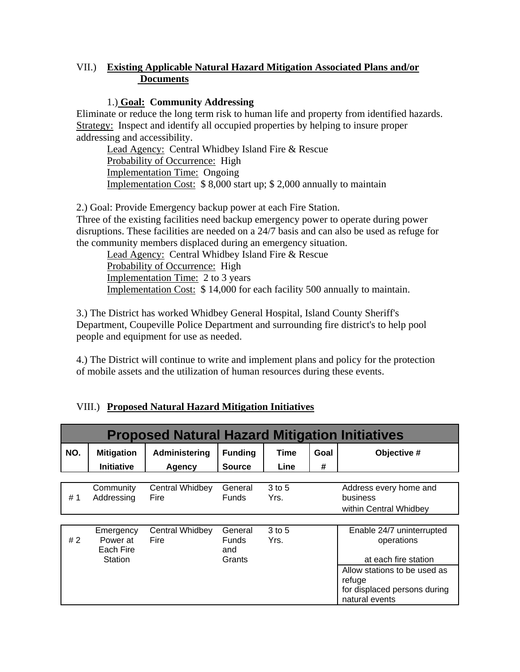### VII.) **Existing Applicable Natural Hazard Mitigation Associated Plans and/or Documents**

### 1.) **Goal: Community Addressing**

Eliminate or reduce the long term risk to human life and property from identified hazards. Strategy: Inspect and identify all occupied properties by helping to insure proper addressing and accessibility.

Lead Agency: Central Whidbey Island Fire & Rescue Probability of Occurrence: High Implementation Time: Ongoing Implementation Cost: \$ 8,000 start up; \$ 2,000 annually to maintain

2.) Goal: Provide Emergency backup power at each Fire Station. Three of the existing facilities need backup emergency power to operate during power disruptions. These facilities are needed on a 24/7 basis and can also be used as refuge for the community members displaced during an emergency situation.

Lead Agency: Central Whidbey Island Fire & Rescue Probability of Occurrence: High Implementation Time: 2 to 3 years Implementation Cost: \$ 14,000 for each facility 500 annually to maintain.

3.) The District has worked Whidbey General Hospital, Island County Sheriff's Department, Coupeville Police Department and surrounding fire district's to help pool people and equipment for use as needed.

4.) The District will continue to write and implement plans and policy for the protection of mobile assets and the utilization of human resources during these events.

| <b>Proposed Natural Hazard Mitigation Initiatives</b> |                                    |                         |                                |                  |      |                                                                                                |
|-------------------------------------------------------|------------------------------------|-------------------------|--------------------------------|------------------|------|------------------------------------------------------------------------------------------------|
| NO.                                                   | <b>Mitigation</b>                  | Administering           | <b>Funding</b>                 | <b>Time</b>      | Goal | Objective #                                                                                    |
|                                                       | <b>Initiative</b>                  | Agency                  | <b>Source</b>                  | Line             | #    |                                                                                                |
|                                                       |                                    |                         |                                |                  |      |                                                                                                |
| #1                                                    | Community<br>Addressing            | Central Whidbey<br>Fire | General<br><b>Funds</b>        | $3$ to 5<br>Yrs. |      | Address every home and<br>business<br>within Central Whidbey                                   |
|                                                       |                                    |                         |                                |                  |      |                                                                                                |
| #2                                                    | Emergency<br>Power at<br>Each Fire | Central Whidbey<br>Fire | General<br><b>Funds</b><br>and | 3 to 5<br>Yrs.   |      | Enable 24/7 uninterrupted<br>operations                                                        |
|                                                       | Station                            |                         | Grants                         |                  |      | at each fire station<br>Allow stations to be used as<br>refuge<br>for displaced persons during |
|                                                       |                                    |                         |                                |                  |      | natural events                                                                                 |

# VIII.) **Proposed Natural Hazard Mitigation Initiatives**